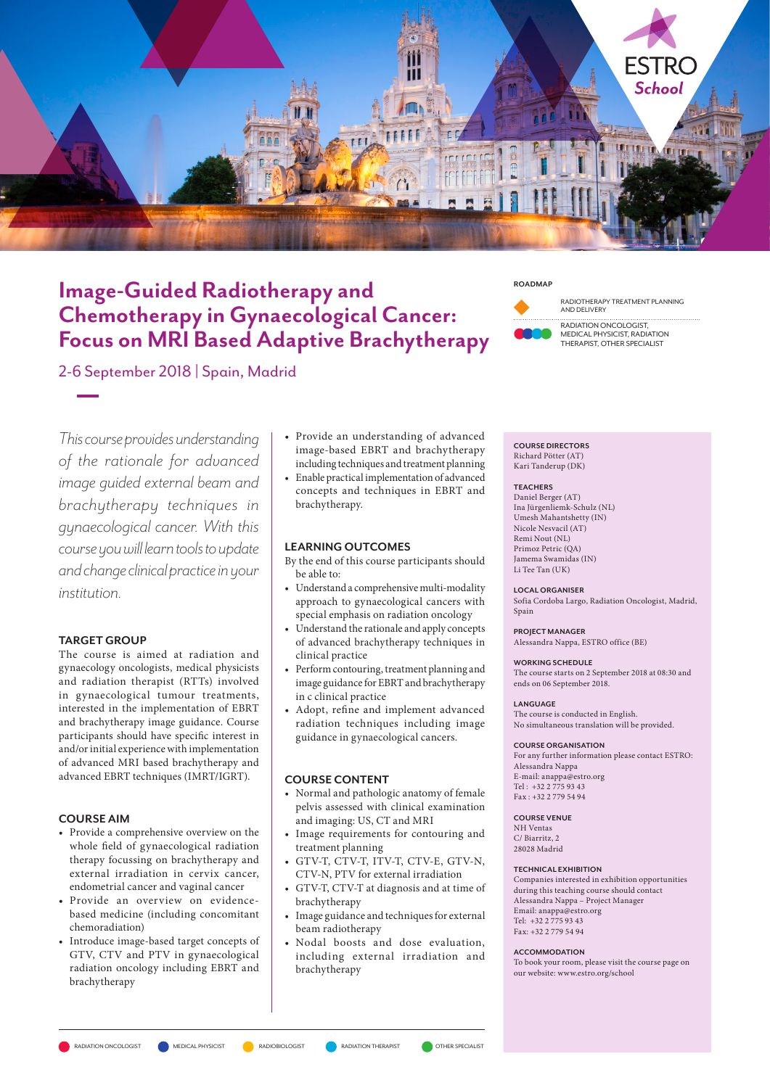

# Image-Guided Radiotherapy and Chemotherapy in Gynaecological Cancer: Focus on MRI Based Adaptive Brachytherapy



RADIOTHERAPY TREATMENT PLANNING AND DELIVERY

RADIATION ONCOLOGIST, MEDICAL PHYSICIST, RADIATION THERAPIST, OTHER SPECIALIST

2-6 September 2018 | Spain, Madrid

This course provides understanding of the rationale for advanced image guided external beam and brachytherapy techniques in gynaecological cancer. With this course you will learn tools to update and change clinical practice in your institution.

# TARGET GROUP

The course is aimed at radiation and gynaecology oncologists, medical physicists and radiation therapist (RTTs) involved in gynaecological tumour treatments, interested in the implementation of EBRT and brachytherapy image guidance. Course participants should have specific interest in and/or initial experience with implementation of advanced MRI based brachytherapy and advanced EBRT techniques (IMRT/IGRT).

## COURSE AIM

- Provide a comprehensive overview on the whole field of gynaecological radiation therapy focussing on brachytherapy and external irradiation in cervix cancer, endometrial cancer and vaginal cancer
- Provide an overview on evidencebased medicine (including concomitant chemoradiation)
- Introduce image-based target concepts of GTV, CTV and PTV in gynaecological radiation oncology including EBRT and brachytherapy
- Provide an understanding of advanced image-based EBRT and brachytherapy including techniques and treatment planning
- Enable practical implementation of advanced concepts and techniques in EBRT and brachytherapy.

# LEARNING OUTCOMES

- By the end of this course participants should be able to:
- Understand a comprehensive multi-modality approach to gynaecological cancers with special emphasis on radiation oncology
- Understand the rationale and apply concepts of advanced brachytherapy techniques in clinical practice
- Perform contouring, treatment planning and image guidance for EBRT and brachytherapy in c clinical practice
- Adopt, refine and implement advanced radiation techniques including image guidance in gynaecological cancers.

## COURSE CONTENT

- Normal and pathologic anatomy of female pelvis assessed with clinical examination and imaging: US, CT and MRI
- Image requirements for contouring and treatment planning
- GTV-T, CTV-T, ITV-T, CTV-E, GTV-N, CTV-N, PTV for external irradiation
- GTV-T, CTV-T at diagnosis and at time of brachytherapy
- Image guidance and techniques for external beam radiotherapy
- Nodal boosts and dose evaluation, including external irradiation and brachytherapy

COURSE DIRECTORS Richard Pötter (AT)

Kari Tanderup (DK)

# **TEACHERS**

Daniel Berger (AT) Ina Jürgenliemk-Schulz (NL) Umesh Mahantshetty (IN) Nicole Nesvacil (AT) Remi Nout (NL) Primoz Petric (QA) Jamema Swamidas (IN) Li Tee Tan (UK)

#### LOCAL ORGANISER

Sofia Cordoba Largo, Radiation Oncologist, Madrid, Spain

PROJECT MANAGER

Alessandra Nappa, ESTRO office (BE)

#### WORKING SCHEDULE

The course starts on 2 September 2018 at 08:30 and ends on 06 September 2018.

#### LANGUAGE

The course is conducted in English. No simultaneous translation will be provided.

## COURSE ORGANISATION

For any further information please contact ESTRO: Alessandra Nappa E-mail: anappa@estro.org Tel : +32 2 775 93 43 Fax : +32 2 779 54 94

## COURSE VENUE

NH Ventas C/ Biarritz, 2 28028 Madrid

#### TECHNICAL EXHIBITION

Companies interested in exhibition opportunities during this teaching course should contact Alessandra Nappa – Project Manager Email: anappa@estro.org Tel: +32 2 775 93 43 Fax: +32 2 779 54 94

## ACCOMMODATION

To book your room, please visit the course page on our website: www.estro.org/school